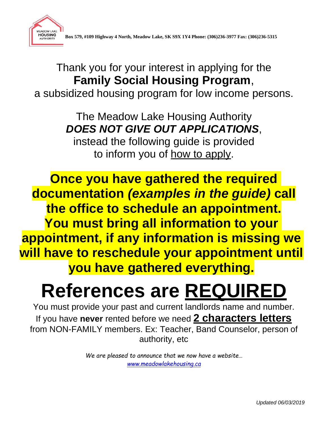

Thank you for your interest in applying for the **Family Social Housing Program**, a subsidized housing program for low income persons.

> The Meadow Lake Housing Authority *DOES NOT GIVE OUT APPLICATIONS*,

instead the following guide is provided to inform you of <u>how to apply</u>.

**Once you have gathered the required documentation** *(examples in the guide)* **call the office to schedule an appointment. You must bring all information to your appointment, if any information is missing we will have to reschedule your appointment until you have gathered everything.**

# **References are REQUIRED**

You must provide your past and current landlords name and number. If you have **never** rented before we need **2 characters letters** from NON-FAMILY members. Ex: Teacher, Band Counselor, person of authority, etc

> *We are pleased to announce that we now have a website… [www.meadowlakehousing.ca](http://www.meadowlakehousing.ca/)*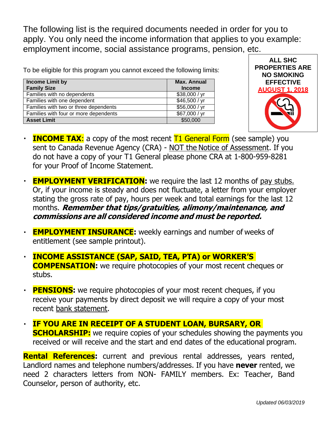The following list is the required documents needed in order for you to apply. You only need the income information that applies to you example: employment income, social assistance programs, pension, etc.

To be eligible for this program you cannot exceed the following limits:

| <b>Income Limit by</b><br><b>Family Size</b> | Max. Annual<br><b>Income</b> |
|----------------------------------------------|------------------------------|
| Families with no dependents                  | \$38,000 / yr                |
| Families with one dependent                  | \$46,500 / yr                |
| Families with two or three dependents        | \$56,000 / yr                |
| Families with four or more dependents        | \$67,000 / yr                |
| <b>Asset Limit</b>                           | \$50,000                     |



- **INCOME TAX:** a copy of the most recent T1 General Form (see sample) you  $\blacksquare$ sent to Canada Revenue Agency (CRA) - NOT the Notice of Assessment. If you do not have a copy of your T1 General please phone CRA at 1-800-959-8281 for your Proof of Income Statement.
- **EMPLOYMENT VERIFICATION:** we require the last 12 months of pay stubs. Or, if your income is steady and does not fluctuate, a letter from your employer stating the gross rate of pay, hours per week and total earnings for the last 12 months. **Remember that tips/gratuities, alimony/maintenance, and commissions are all considered income and must be reported.**
- **EMPLOYMENT INSURANCE:** weekly earnings and number of weeks of entitlement (see sample printout).
- **INCOME ASSISTANCE (SAP, SAID, TEA, PTA) or WORKER'S**   $\blacksquare$ **COMPENSATION:** we require photocopies of your most recent cheques or stubs.
- **PENSIONS:** we require photocopies of your most recent cheques, if you  $\blacksquare$ receive your payments by direct deposit we will require a copy of your most recent bank statement.
- **IF YOU ARE IN RECEIPT OF A STUDENT LOAN, BURSARY, OR**   $\blacksquare$ **SCHOLARSHIP:** we require copies of your schedules showing the payments you received or will receive and the start and end dates of the educational program.

**Rental References:** current and previous rental addresses, years rented, Landlord names and telephone numbers/addresses. If you have **never** rented, we need 2 characters letters from NON- FAMILY members. Ex: Teacher, Band Counselor, person of authority, etc.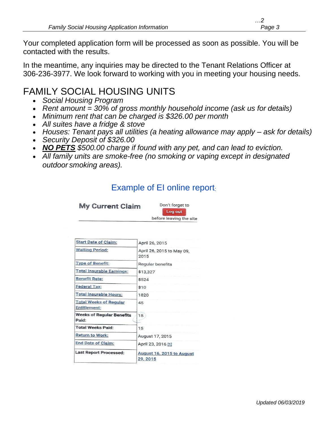Your completed application form will be processed as soon as possible. You will be contacted with the results.

In the meantime, any inquiries may be directed to the Tenant Relations Officer at 306-236-3977. We look forward to working with you in meeting your housing needs.

### FAMILY SOCIAL HOUSING UNITS

- *Social Housing Program*
- *Rent amount = 30% of gross monthly household income (ask us for details)*
- *Minimum rent that can be charged is \$326.00 per month*
- *All suites have a fridge & stove*
- *Houses: Tenant pays all utilities (a heating allowance may apply – ask for details)*
- *Security Deposit of \$326.00*
- *NO PETS \$500.00 charge if found with any pet, and can lead to eviction.*
- *All family units are smoke-free (no smoking or vaping except in designated outdoor smoking areas).*

#### Example of EI online report:

| <b>My Current Claim</b> | Don't forget to         |  |
|-------------------------|-------------------------|--|
|                         | Log out                 |  |
|                         | before leaving the site |  |

| <b>Start Date of Claim:</b>                          | April 26, 2015                        |
|------------------------------------------------------|---------------------------------------|
| <b>Waiting Period:</b>                               | April 26, 2015 to May 09,<br>2015     |
| <b>Type of Benefit:</b>                              | <b>Regular benefits</b>               |
| <b>Total Insurable Earnings:</b>                     | \$13,327                              |
| <b>Benefit Rate:</b>                                 | \$524                                 |
| Federal Tax:                                         | \$10                                  |
| Total Insurable Hours:                               | 1820                                  |
| <b>Total Weeks of Regular</b><br><b>Entitlement:</b> | 45                                    |
| <b>Weeks of Regular Benefits</b><br>Paid:            | 15                                    |
| <b>Total Weeks Paid:</b>                             | 15                                    |
| Return to Work:                                      | August 17, 2015                       |
| End Date of Claim:                                   | April 23, 2016 [1]                    |
| <b>Last Report Processed:</b>                        | August 16, 2015 to August<br>29, 2015 |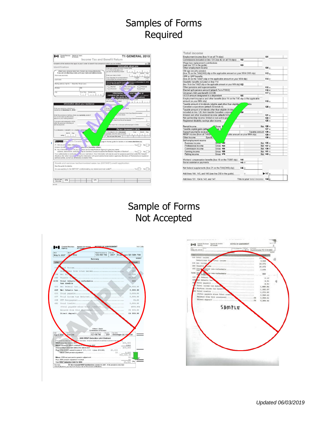## Samples of Forms Required

| Complete all the sections that apply to you in order to benefit from amounts to which you are entitled.                               |                                                                                             |
|---------------------------------------------------------------------------------------------------------------------------------------|---------------------------------------------------------------------------------------------|
|                                                                                                                                       | BC <sub>8</sub><br>Information about you                                                    |
| Identification                                                                                                                        | Enter your social insurance number (SIN)                                                    |
| Attach your personal label here. Correct any wrong information.                                                                       | if it is not on the label, or if<br>you are not attaching a label:                          |
| If you are not attaching a label, print your name and address below.                                                                  | <b>Year</b><br><b>Mounts</b><br>Day                                                         |
| First name and initial                                                                                                                | Enter your date of birth:                                                                   |
| Last name                                                                                                                             | English<br>Your language of correspondence:<br>Français<br>Votre langue de correspondance : |
|                                                                                                                                       | igital status on December 31, 2010:<br>Tick the box that applies to your a                  |
| Mailing address: Apt No - Street No Street name                                                                                       | (see the "Marital status" sectig<br>who guide)                                              |
| PO Rox<br><b>RR</b>                                                                                                                   | 1 Married<br>3 Widowed<br>zГ<br>ving common-law                                             |
|                                                                                                                                       | Separated<br>6 <sup>1</sup> Single<br>4 Divorced<br>٠                                       |
| $\overline{on}$<br>Prov./Tem.<br>Postal code                                                                                          | Information a<br>t your spr                                                                 |
|                                                                                                                                       | common-law partnel<br>$x + or 2 above$                                                      |
|                                                                                                                                       | ge the guide for<br>ormation)                                                               |
|                                                                                                                                       | or SIN if it is not on the last arif you<br>Freer has<br>A label:<br>are not atto.          |
| Information about your residence                                                                                                      |                                                                                             |
|                                                                                                                                       | is or her b                                                                                 |
| Enter your province or tenttory of                                                                                                    | $+9010$<br>Front                                                                            |
| residence on December 31, 2010;                                                                                                       | to cla                                                                                      |
|                                                                                                                                       | of Universal Child Care Benefit included                                                    |
| Enter the province or territory where you currently reside if<br>it is not the same as that shown                                     | or har return:                                                                              |
| above for your mailing address:                                                                                                       | mount of Universal Child Care Benefit repayment                                             |
| If you were self-employed in 2010.                                                                                                    | I line 213 of his or her return:                                                            |
| enter the province or territory of                                                                                                    |                                                                                             |
| self-employment:                                                                                                                      | this box if he or she was self-employed in 2010:                                            |
|                                                                                                                                       | Person deceased in 2010                                                                     |
| If you became or ceased to be a reside<br>of Cana                                                                                     | If this return is for a deceased<br>Month<br>Day<br>Year                                    |
| Phone:<br><b>LEngth</b>                                                                                                               | person, enter the date of death                                                             |
| entry                                                                                                                                 | Do not use this area                                                                        |
|                                                                                                                                       |                                                                                             |
| <b>X Ele Luns Canada</b><br>the F                                                                                                     | page in the tax quide for details or visit www.elections.call                               |
| A) Are you a C ladian citizen <sup>-1</sup>                                                                                           | Ves                                                                                         |
| Answer the foll ong quinc with you are a Canadian citizen.                                                                            |                                                                                             |
| , do you a lorize the Canada Revenue Agency to give your name.<br>B) As a Canadian                                                    |                                                                                             |
| address, date of birth, and citize hip to Elections Canada to update the National Register of Electors? Yes                           | No                                                                                          |
|                                                                                                                                       |                                                                                             |
|                                                                                                                                       |                                                                                             |
| Elections Act which include aring the information with provincial/territorial election agencies, Members of Parliament and registered |                                                                                             |
| political parties, as well as candidates at election time.                                                                            |                                                                                             |
|                                                                                                                                       |                                                                                             |
| Goods and services tax/harmonized sales tax (GST/HST) credit application                                                              |                                                                                             |
| See the quide for details.                                                                                                            |                                                                                             |
| Are you applying for the GST/HST credit (including any related provincial credit)?  Yes                                               | $1$ No.                                                                                     |
|                                                                                                                                       |                                                                                             |
|                                                                                                                                       |                                                                                             |
|                                                                                                                                       |                                                                                             |
| Do not use<br>171<br>172                                                                                                              |                                                                                             |

| Employment income (box 14 on all T4 slips)                                                                                                                                                                                                                                                                                                                           |                 |                                | 101                |
|----------------------------------------------------------------------------------------------------------------------------------------------------------------------------------------------------------------------------------------------------------------------------------------------------------------------------------------------------------------------|-----------------|--------------------------------|--------------------|
| Commissions included on line 101 (box 42 on all T4 slips)                                                                                                                                                                                                                                                                                                            |                 | 102                            |                    |
| Wage loss replacement contributions<br>(see line 101 in the quide).                                                                                                                                                                                                                                                                                                  |                 | 103                            |                    |
| Other employment income                                                                                                                                                                                                                                                                                                                                              |                 |                                | $104 +$            |
| Old age security pension<br>(box 18 on the T4A(OAS) slip or the applicable amount on your NR4-OAS slip)                                                                                                                                                                                                                                                              |                 |                                | $113 +$            |
| CPP or QPP benefits<br>(box 20 on the T4A(P) slip or the applicable amount on your NR4 slip)                                                                                                                                                                                                                                                                         |                 |                                | $114 +$            |
| Disability benefits included on line 114<br>(box 16 on the T4A(P) slip or the applicable amount on your NR4 slip) 152                                                                                                                                                                                                                                                |                 |                                |                    |
| Other pensions and superannuation                                                                                                                                                                                                                                                                                                                                    |                 |                                | $115 +$            |
| Elected split-pension amount (attach Form T1032)                                                                                                                                                                                                                                                                                                                     |                 |                                | $116 +$            |
| Universal child care benefit (UCCB)                                                                                                                                                                                                                                                                                                                                  |                 |                                | $117 +$            |
| UCCB amount designated to a dependant                                                                                                                                                                                                                                                                                                                                |                 | 185                            |                    |
| Employment insurance and other benefits (box 14 on the T4E slip or the applicable<br>amount on your NR4 slip)                                                                                                                                                                                                                                                        |                 |                                | $119 +$            |
| Taxable amount of dividends (eligible and other than eligible)<br>Canadian corporations (attach Schedule 4)                                                                                                                                                                                                                                                          |                 | able                           | $120 +$            |
| included on line 120, from taxable Canadian corporati<br>Interest and other investment income (attach Sche<br>Net partnership income: limited or non-active par                                                                                                                                                                                                      |                 | (80)                           | $121 +$<br>$122 +$ |
| Registered disability savings plan income                                                                                                                                                                                                                                                                                                                            |                 |                                | $125 +$            |
|                                                                                                                                                                                                                                                                                                                                                                      |                 |                                |                    |
|                                                                                                                                                                                                                                                                                                                                                                      |                 |                                |                    |
|                                                                                                                                                                                                                                                                                                                                                                      | Gross           |                                | Net $126 +$        |
|                                                                                                                                                                                                                                                                                                                                                                      | de <sub>3</sub> |                                | $127 +$            |
|                                                                                                                                                                                                                                                                                                                                                                      |                 | Taxable amount 128 +           |                    |
|                                                                                                                                                                                                                                                                                                                                                                      |                 | cable amount on your NR4 slip) | $129 +$            |
| Specify                                                                                                                                                                                                                                                                                                                                                              |                 |                                | $130 +$            |
|                                                                                                                                                                                                                                                                                                                                                                      |                 |                                |                    |
| Business income                                                                                                                                                                                                                                                                                                                                                      | Gross 162       |                                | Net $135 +$        |
| Professional income                                                                                                                                                                                                                                                                                                                                                  | Gross 164       |                                | Net 137 +          |
| Commission income                                                                                                                                                                                                                                                                                                                                                    | Gross 166       |                                | Net 139 +          |
| Farming income                                                                                                                                                                                                                                                                                                                                                       | Gross 168       |                                | Net $141 +$        |
| Fishing income                                                                                                                                                                                                                                                                                                                                                       | Gross 170       |                                | Net $143 +$        |
|                                                                                                                                                                                                                                                                                                                                                                      |                 |                                |                    |
|                                                                                                                                                                                                                                                                                                                                                                      |                 | 144                            |                    |
|                                                                                                                                                                                                                                                                                                                                                                      |                 | $145 +$                        |                    |
|                                                                                                                                                                                                                                                                                                                                                                      |                 | $146 +$                        |                    |
| Rental income<br>Taxable capital gains (attac'<br>Support payments received<br>RRSP income (from all T4RSK<br>Other income<br>Self-employment income<br>Workers' compensation benefits (box 10 on the T5007 slip)<br>Social assistance payments<br>Net federal supplements (box 21 on the T4A(OAS) slip)<br>Add lines 144, 145, and 146 (see line 250 in the quide). |                 |                                | $147 +$            |

#### Sample of Forms Not Accepted